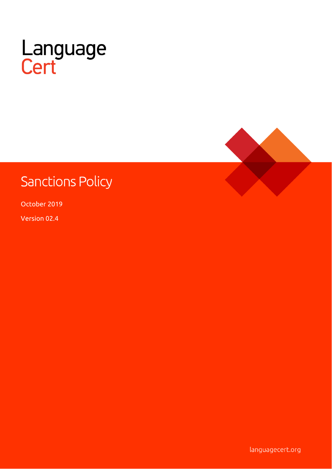

# **Sanctions Policy**

October 2019

Version 02.4

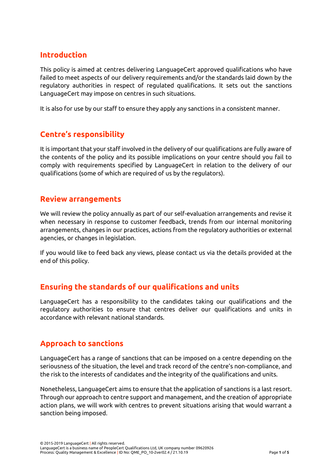### **Introduction**

This policy is aimed at centres delivering LanguageCert approved qualifications who have failed to meet aspects of our delivery requirements and/or the standards laid down by the regulatory authorities in respect of regulated qualifications. It sets out the sanctions LanguageCert may impose on centres in such situations.

It is also for use by our staff to ensure they apply any sanctions in a consistent manner.

# **Centre's responsibility**

It is important that your staff involved in the delivery of our qualifications are fully aware of the contents of the policy and its possible implications on your centre should you fail to comply with requirements specified by LanguageCert in relation to the delivery of our qualifications (some of which are required of us by the regulators).

#### **Review arrangements**

We will review the policy annually as part of our self-evaluation arrangements and revise it when necessary in response to customer feedback, trends from our internal monitoring arrangements, changes in our practices, actions from the regulatory authorities or external agencies, or changes in legislation.

If you would like to feed back any views, please contact us via the details provided at the end of this policy.

# **Ensuring the standards of our qualifications and units**

LanguageCert has a responsibility to the candidates taking our qualifications and the regulatory authorities to ensure that centres deliver our qualifications and units in accordance with relevant national standards.

#### **Approach to sanctions**

LanguageCert has a range of sanctions that can be imposed on a centre depending on the seriousness of the situation, the level and track record of the centre's non-compliance, and the risk to the interests of candidates and the integrity of the qualifications and units.

Nonetheless, LanguageCert aims to ensure that the application of sanctions is a last resort. Through our approach to centre support and management, and the creation of appropriate action plans, we will work with centres to prevent situations arising that would warrant a sanction being imposed.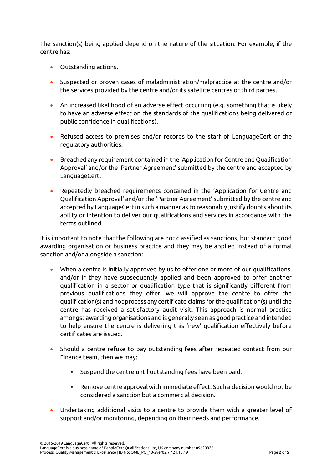The sanction(s) being applied depend on the nature of the situation. For example, if the centre has:

- Outstanding actions.
- Suspected or proven cases of maladministration/malpractice at the centre and/or the services provided by the centre and/or its satellite centres or third parties.
- An increased likelihood of an adverse effect occurring (e.g. something that is likely to have an adverse effect on the standards of the qualifications being delivered or public confidence in qualifications).
- Refused access to premises and/or records to the staff of LanguageCert or the regulatory authorities.
- Breached any requirement contained in the 'Application for Centre and Qualification Approval' and/or the 'Partner Agreement' submitted by the centre and accepted by LanguageCert.
- Repeatedly breached requirements contained in the 'Application for Centre and Qualification Approval' and/or the 'Partner Agreement' submitted by the centre and accepted by LanguageCert in such a manner as to reasonably justify doubts about its ability or intention to deliver our qualifications and services in accordance with the terms outlined.

It is important to note that the following are not classified as sanctions, but standard good awarding organisation or business practice and they may be applied instead of a formal sanction and/or alongside a sanction:

- When a centre is initially approved by us to offer one or more of our qualifications, and/or if they have subsequently applied and been approved to offer another qualification in a sector or qualification type that is significantly different from previous qualifications they offer, we will approve the centre to offer the qualification(s) and not process any certificate claims for the qualification(s) until the centre has received a satisfactory audit visit. This approach is normal practice amongst awarding organisations and is generally seen as good practice and intended to help ensure the centre is delivering this 'new' qualification effectively before certificates are issued.
- Should a centre refuse to pay outstanding fees after repeated contact from our Finance team, then we may:
	- Suspend the centre until outstanding fees have been paid.
	- Remove centre approval with immediate effect. Such a decision would not be considered a sanction but a commercial decision.
- Undertaking additional visits to a centre to provide them with a greater level of support and/or monitoring, depending on their needs and performance.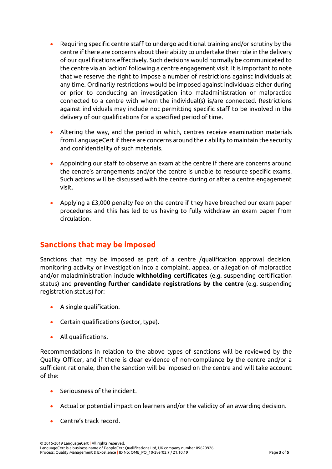- Requiring specific centre staff to undergo additional training and/or scrutiny by the centre if there are concerns about their ability to undertake their role in the delivery of our qualifications effectively. Such decisions would normally be communicated to the centre via an 'action' following a centre engagement visit. It is important to note that we reserve the right to impose a number of restrictions against individuals at any time. Ordinarily restrictions would be imposed against individuals either during or prior to conducting an investigation into maladministration or malpractice connected to a centre with whom the individual(s) is/are connected. Restrictions against individuals may include not permitting specific staff to be involved in the delivery of our qualifications for a specified period of time.
- Altering the way, and the period in which, centres receive examination materials from LanguageCert if there are concerns around their ability to maintain the security and confidentiality of such materials.
- Appointing our staff to observe an exam at the centre if there are concerns around the centre's arrangements and/or the centre is unable to resource specific exams. Such actions will be discussed with the centre during or after a centre engagement visit.
- Applying a £3,000 penalty fee on the centre if they have breached our exam paper procedures and this has led to us having to fully withdraw an exam paper from circulation.

#### **Sanctions that may be imposed**

Sanctions that may be imposed as part of a centre /qualification approval decision, monitoring activity or investigation into a complaint, appeal or allegation of malpractice and/or maladministration include **withholding certificates** (e.g. suspending certification status) and **preventing further candidate registrations by the centre** (e.g. suspending registration status) for:

- A single qualification.
- Certain qualifications (sector, type).
- All qualifications.

Recommendations in relation to the above types of sanctions will be reviewed by the Quality Officer, and if there is clear evidence of non-compliance by the centre and/or a sufficient rationale, then the sanction will be imposed on the centre and will take account of the:

- Seriousness of the incident.
- Actual or potential impact on learners and/or the validity of an awarding decision.
- Centre's track record.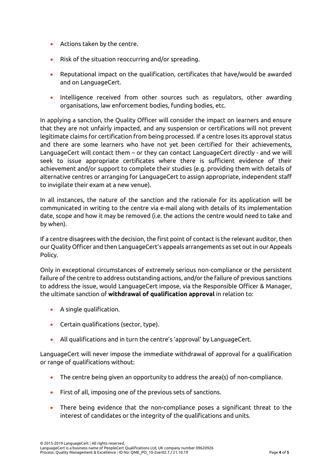- Actions taken by the centre.
- Risk of the situation reoccurring and/or spreading.
- Reputational impact on the qualification, certificates that have/would be awarded and on LanguageCert.
- Intelligence received from other sources such as regulators, other awarding organisations, law enforcement bodies, funding bodies, etc.

In applying a sanction, the Quality Officer will consider the impact on learners and ensure that they are not unfairly impacted, and any suspension or certifications will not prevent legitimate claims for certification from being processed. If a centre loses its approval status and there are some learners who have not yet been certified for their achievements, LanguageCert will contact them – or they can contact LanguageCert directly - and we will seek to issue appropriate certificates where there is sufficient evidence of their achievement and/or support to complete their studies (e.g. providing them with details of alternative centres or arranging for LanguageCert to assign appropriate, independent staff to invigilate their exam at a new venue).

In all instances, the nature of the sanction and the rationale for its application will be communicated in writing to the centre via e-mail along with details of its implementation date, scope and how it may be removed (i.e. the actions the centre would need to take and by when).

If a centre disagrees with the decision, the first point of contact is the relevant auditor, then our Quality Officer and then LanguageCert's appeals arrangements as set out in our Appeals Policy.

Only in exceptional circumstances of extremely serious non-compliance or the persistent failure of the centre to address outstanding actions, and/or the failure of previous sanctions to address the issue, would LanguageCert impose, via the Responsible Officer & Manager, the ultimate sanction of **withdrawal of qualification approval** in relation to:

- A single qualification.
- Certain qualifications (sector, type).
- All qualifications and in turn the centre's 'approval' by LanguageCert.

LanguageCert will never impose the immediate withdrawal of approval for a qualification or range of qualifications without:

- The centre being given an opportunity to address the area(s) of non-compliance.
- First of all, imposing one of the previous sets of sanctions.
- There being evidence that the non-compliance poses a significant threat to the interest of candidates or the integrity of the qualifications and units.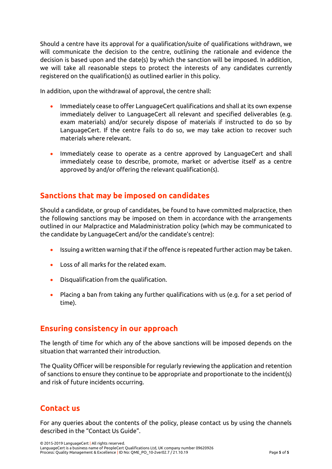Should a centre have its approval for a qualification/suite of qualifications withdrawn, we will communicate the decision to the centre, outlining the rationale and evidence the decision is based upon and the date(s) by which the sanction will be imposed. In addition, we will take all reasonable steps to protect the interests of any candidates currently registered on the qualification(s) as outlined earlier in this policy.

In addition, upon the withdrawal of approval, the centre shall:

- Immediately cease to offer LanguageCert qualifications and shall at its own expense immediately deliver to LanguageCert all relevant and specified deliverables (e.g. exam materials) and/or securely dispose of materials if instructed to do so by LanguageCert. If the centre fails to do so, we may take action to recover such materials where relevant.
- Immediately cease to operate as a centre approved by LanguageCert and shall immediately cease to describe, promote, market or advertise itself as a centre approved by and/or offering the relevant qualification(s).

# **Sanctions that may be imposed on candidates**

Should a candidate, or group of candidates, be found to have committed malpractice, then the following sanctions may be imposed on them in accordance with the arrangements outlined in our Malpractice and Maladministration policy (which may be communicated to the candidate by LanguageCert and/or the candidate's centre):

- Issuing a written warning that if the offence is repeated further action may be taken.
- Loss of all marks for the related exam.
- Disqualification from the qualification.
- Placing a ban from taking any further qualifications with us (e.g. for a set period of time).

#### **Ensuring consistency in our approach**

The length of time for which any of the above sanctions will be imposed depends on the situation that warranted their introduction.

The Quality Officer will be responsible for regularly reviewing the application and retention of sanctions to ensure they continue to be appropriate and proportionate to the incident(s) and risk of future incidents occurring.

#### **Contact us**

For any queries about the contents of the policy, please contact us by using the channels described in the "Contact Us Guide".